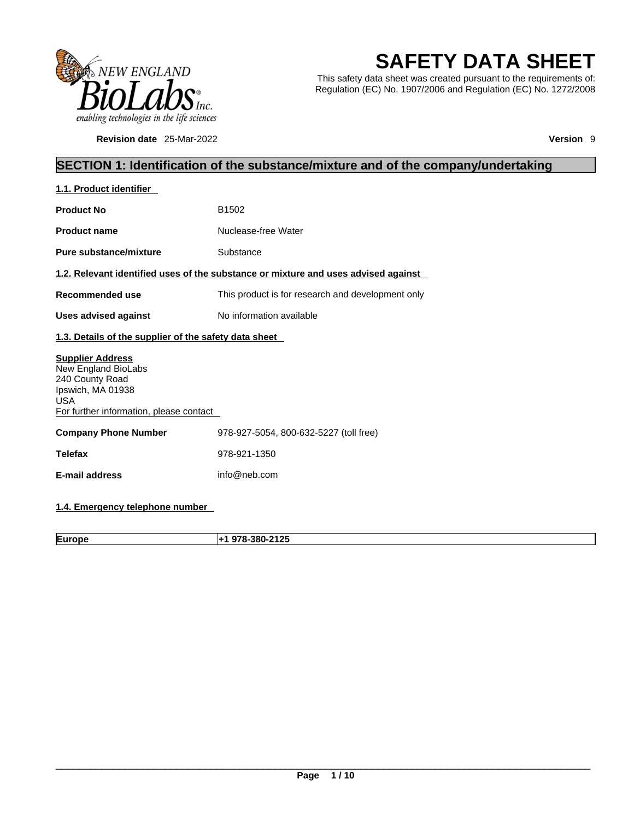

**Revision date** 25-Mar-2022 **Version** 9

# **SAFETY DATA SHEET**

This safety data sheet was created pursuant to the requirements of: Regulation (EC) No. 1907/2006 and Regulation (EC) No. 1272/2008

# **SECTION 1: Identification of the substance/mixture and of the company/undertaking**

| 1.1. Product identifier                                                                                                                         |                                                                                    |  |
|-------------------------------------------------------------------------------------------------------------------------------------------------|------------------------------------------------------------------------------------|--|
| <b>Product No</b>                                                                                                                               | B <sub>1502</sub>                                                                  |  |
| <b>Product name</b>                                                                                                                             | Nuclease-free Water                                                                |  |
| Pure substance/mixture                                                                                                                          | Substance                                                                          |  |
|                                                                                                                                                 | 1.2. Relevant identified uses of the substance or mixture and uses advised against |  |
| Recommended use                                                                                                                                 | This product is for research and development only                                  |  |
| <b>Uses advised against</b>                                                                                                                     | No information available                                                           |  |
| 1.3. Details of the supplier of the safety data sheet                                                                                           |                                                                                    |  |
| <b>Supplier Address</b><br>New England BioLabs<br>240 County Road<br>Ipswich, MA 01938<br><b>USA</b><br>For further information, please contact |                                                                                    |  |
| <b>Company Phone Number</b>                                                                                                                     | 978-927-5054, 800-632-5227 (toll free)                                             |  |
| <b>Telefax</b>                                                                                                                                  | 978-921-1350                                                                       |  |
| <b>E-mail address</b>                                                                                                                           | info@neb.com                                                                       |  |
|                                                                                                                                                 |                                                                                    |  |

# **1.4. Emergency telephone number**

**Europe +1 978-380-2125**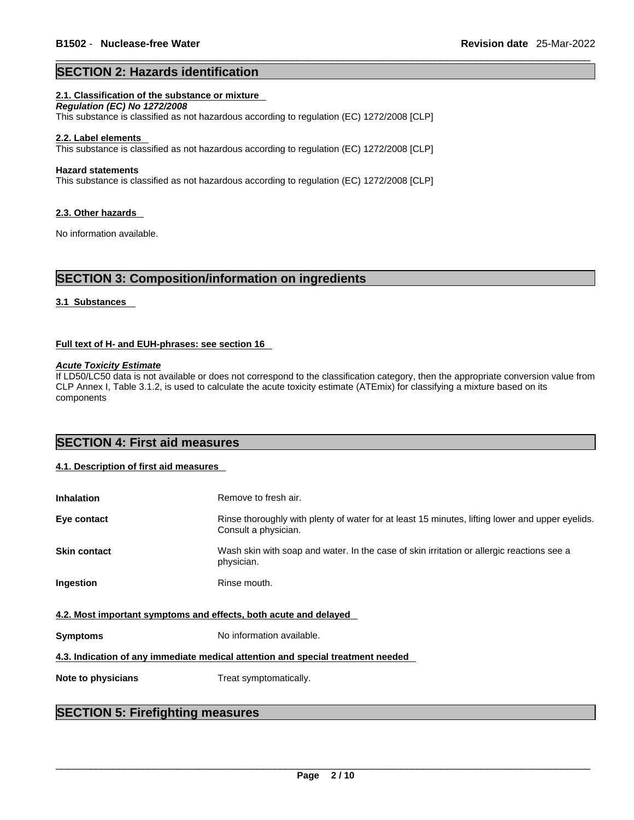### **SECTION 2: Hazards identification**

#### **2.1. Classification of the substance or mixture**

*Regulation (EC) No 1272/2008*  This substance isclassified as not hazardous according to regulation (EC) 1272/2008 [CLP]

#### **2.2. Label elements**

This substance is classified as not hazardous according to regulation (EC) 1272/2008 [CLP]

#### **Hazard statements**

This substance isclassified as not hazardous according to regulation (EC) 1272/2008 [CLP]

#### **2.3. Other hazards**

No information available.

# **SECTION 3: Composition/information on ingredients**

#### **3.1 Substances**

#### **Full text of H- and EUH-phrases: see section 16**

*Acute Toxicity Estimate*

If LD50/LC50 data is not available or does not correspond to the classification category, then the appropriate conversion value from CLP Annex I, Table 3.1.2, is used to calculate the acute toxicity estimate (ATEmix) for classifying a mixture based on its components

# **SECTION 4: First aid measures**

#### **4.1. Description of first aid measures**

| <b>Inhalation</b>                                                               | Remove to fresh air.                                                                                                    |  |
|---------------------------------------------------------------------------------|-------------------------------------------------------------------------------------------------------------------------|--|
| Eye contact                                                                     | Rinse thoroughly with plenty of water for at least 15 minutes, lifting lower and upper eyelids.<br>Consult a physician. |  |
| <b>Skin contact</b>                                                             | Wash skin with soap and water. In the case of skin irritation or allergic reactions see a<br>physician.                 |  |
| <b>Ingestion</b>                                                                | Rinse mouth.                                                                                                            |  |
| 4.2. Most important symptoms and effects, both acute and delayed                |                                                                                                                         |  |
| <b>Symptoms</b>                                                                 | No information available.                                                                                               |  |
| 4.3. Indication of any immediate medical attention and special treatment needed |                                                                                                                         |  |
| Note to physicians                                                              | Treat symptomatically.                                                                                                  |  |
|                                                                                 |                                                                                                                         |  |

# **SECTION 5: Firefighting measures**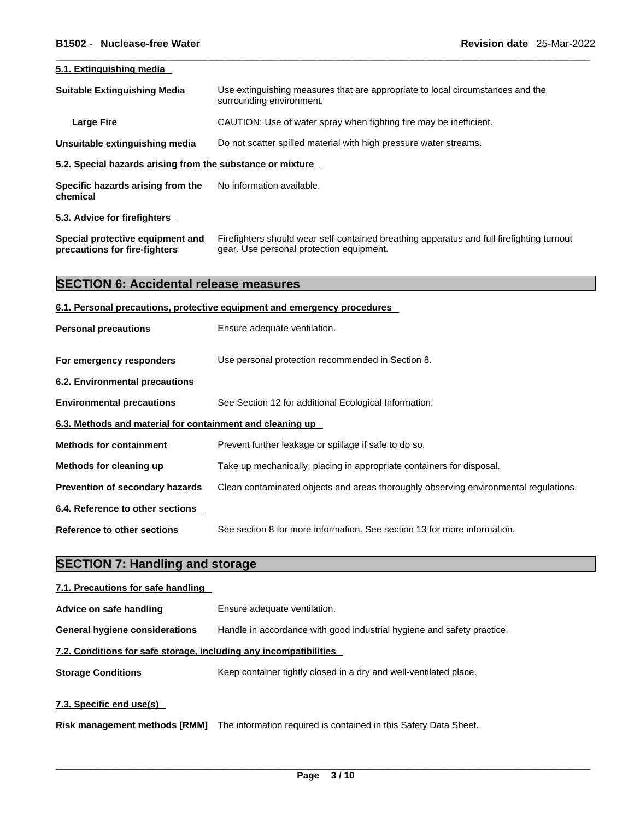| 5.1. Extinguishing media                                          |                                                                                                                                       |  |
|-------------------------------------------------------------------|---------------------------------------------------------------------------------------------------------------------------------------|--|
| <b>Suitable Extinguishing Media</b>                               | Use extinguishing measures that are appropriate to local circumstances and the<br>surrounding environment.                            |  |
| <b>Large Fire</b>                                                 | CAUTION: Use of water spray when fighting fire may be inefficient.                                                                    |  |
| Unsuitable extinguishing media                                    | Do not scatter spilled material with high pressure water streams.                                                                     |  |
| 5.2. Special hazards arising from the substance or mixture        |                                                                                                                                       |  |
| Specific hazards arising from the<br>chemical                     | No information available.                                                                                                             |  |
| 5.3. Advice for firefighters                                      |                                                                                                                                       |  |
| Special protective equipment and<br>precautions for fire-fighters | Firefighters should wear self-contained breathing apparatus and full firefighting turnout<br>gear. Use personal protection equipment. |  |
| <b>SECTION 6: Accidental release measures</b>                     |                                                                                                                                       |  |
|                                                                   | 6.1. Personal precautions, protective equipment and emergency procedures                                                              |  |
| <b>Personal precautions</b>                                       | Ensure adequate ventilation.                                                                                                          |  |
| For emergency responders                                          | Use personal protection recommended in Section 8.                                                                                     |  |
| 6.2. Environmental precautions                                    |                                                                                                                                       |  |
| <b>Environmental precautions</b>                                  | See Section 12 for additional Ecological Information.                                                                                 |  |
| 6.3. Methods and material for containment and cleaning up         |                                                                                                                                       |  |
| <b>Methods for containment</b>                                    | Prevent further leakage or spillage if safe to do so.                                                                                 |  |
| Methods for cleaning up                                           | Take up mechanically, placing in appropriate containers for disposal.                                                                 |  |
| Prevention of secondary hazards                                   | Clean contaminated objects and areas thoroughly observing environmental regulations.                                                  |  |
| 6.4. Reference to other sections                                  |                                                                                                                                       |  |
| <b>Reference to other sections</b>                                | See section 8 for more information. See section 13 for more information.                                                              |  |
| <b>SECTION 7: Handling and storage</b>                            |                                                                                                                                       |  |
| 7.1. Precautions for safe handling                                |                                                                                                                                       |  |
| Advice on safe handling                                           | Ensure adequate ventilation.                                                                                                          |  |
| <b>General hygiene considerations</b>                             | Handle in accordance with good industrial hygiene and safety practice.                                                                |  |
| 7.2. Conditions for safe storage, including any incompatibilities |                                                                                                                                       |  |

**Storage Conditions** Keep container tightly closed in a dry and well-ventilated place.

**7.3. Specific end use(s)** 

**Risk management methods [RMM]** The information required is contained in this Safety Data Sheet.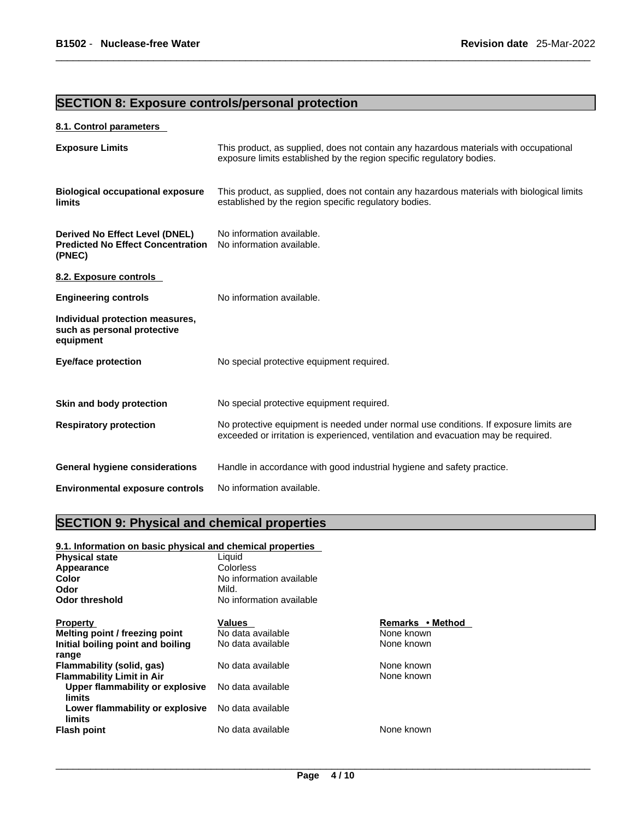# **SECTION 8: Exposure controls/personal protection**

### **8.1. Control parameters**

| <b>Exposure Limits</b>                                                                      | This product, as supplied, does not contain any hazardous materials with occupational<br>exposure limits established by the region specific regulatory bodies.              |
|---------------------------------------------------------------------------------------------|-----------------------------------------------------------------------------------------------------------------------------------------------------------------------------|
| <b>Biological occupational exposure</b><br>limits                                           | This product, as supplied, does not contain any hazardous materials with biological limits<br>established by the region specific regulatory bodies.                         |
| <b>Derived No Effect Level (DNEL)</b><br><b>Predicted No Effect Concentration</b><br>(PNEC) | No information available.<br>No information available.                                                                                                                      |
| 8.2. Exposure controls                                                                      |                                                                                                                                                                             |
| <b>Engineering controls</b>                                                                 | No information available.                                                                                                                                                   |
| Individual protection measures,<br>such as personal protective<br>equipment                 |                                                                                                                                                                             |
| <b>Eye/face protection</b>                                                                  | No special protective equipment required.                                                                                                                                   |
| Skin and body protection                                                                    | No special protective equipment required.                                                                                                                                   |
| <b>Respiratory protection</b>                                                               | No protective equipment is needed under normal use conditions. If exposure limits are<br>exceeded or irritation is experienced, ventilation and evacuation may be required. |
| <b>General hygiene considerations</b>                                                       | Handle in accordance with good industrial hygiene and safety practice.                                                                                                      |
| <b>Environmental exposure controls</b>                                                      | No information available.                                                                                                                                                   |

# **SECTION 9: Physical and chemical properties**

| 9.1. Information on basic physical and chemical properties |                          |                  |  |  |
|------------------------------------------------------------|--------------------------|------------------|--|--|
| <b>Physical state</b>                                      | Liquid                   |                  |  |  |
| Appearance                                                 | Colorless                |                  |  |  |
| Color                                                      | No information available |                  |  |  |
| Odor                                                       | Mild.                    |                  |  |  |
| Odor threshold                                             | No information available |                  |  |  |
| <b>Property</b>                                            | Values                   | Remarks • Method |  |  |
| Melting point / freezing point                             | No data available        | None known       |  |  |
| Initial boiling point and boiling                          | No data available        | None known       |  |  |
| range                                                      |                          |                  |  |  |
| Flammability (solid, gas)                                  | No data available        | None known       |  |  |
| <b>Flammability Limit in Air</b>                           |                          | None known       |  |  |
| Upper flammability or explosive<br>limits                  | No data available        |                  |  |  |
| Lower flammability or explosive<br>limits                  | No data available        |                  |  |  |
| <b>Flash point</b>                                         | No data available        | None known       |  |  |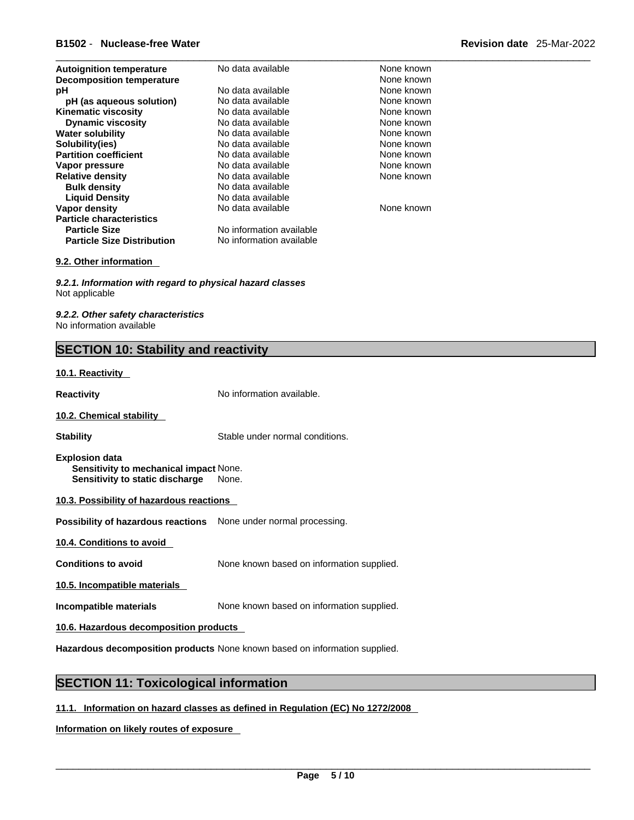| <b>Revision date</b> 25-Mar-2022 |  |
|----------------------------------|--|
|----------------------------------|--|

| <b>Autoignition temperature</b><br><b>Decomposition temperature</b> | No data available        | None known<br>None known |
|---------------------------------------------------------------------|--------------------------|--------------------------|
| рH                                                                  | No data available        | None known               |
| pH (as aqueous solution)                                            | No data available        | None known               |
| <b>Kinematic viscosity</b>                                          | No data available        | None known               |
| <b>Dynamic viscosity</b>                                            | No data available        | None known               |
| <b>Water solubility</b>                                             | No data available        | None known               |
| Solubility(ies)                                                     | No data available        | None known               |
| <b>Partition coefficient</b>                                        | No data available        | None known               |
| Vapor pressure                                                      | No data available        | None known               |
| <b>Relative density</b>                                             | No data available        | None known               |
| <b>Bulk density</b>                                                 | No data available        |                          |
| <b>Liquid Density</b>                                               | No data available        |                          |
| Vapor density                                                       | No data available        | None known               |
| <b>Particle characteristics</b>                                     |                          |                          |
| <b>Particle Size</b>                                                | No information available |                          |
| <b>Particle Size Distribution</b>                                   | No information available |                          |
|                                                                     |                          |                          |

#### **9.2. Other information**

*9.2.1. Information with regard to physical hazard classes* Not applicable

*9.2.2. Other safety characteristics* No information available

# **SECTION 10: Stability and reactivity**

#### **10.1. Reactivity**

**Reactivity No information available.** 

#### **10.2. Chemical stability**

**Stability** Stable under normal conditions.

**Explosion data Sensitivity to mechanical impact** None. **Sensitivity to static discharge** None.

#### **10.3. Possibility of hazardous reactions**

**Possibility of hazardous reactions** None under normal processing.

**10.4. Conditions to avoid** 

**Conditions to avoid** None known based on information supplied.

**10.5. Incompatible materials**

**Incompatible materials** None known based on information supplied.

**10.6. Hazardous decomposition products** 

**Hazardous decomposition products** None known based on information supplied.

# **SECTION 11: Toxicological information**

#### **11.1. Information on hazard classes as defined in Regulation (EC) No 1272/2008**

**Information on likely routes of exposure**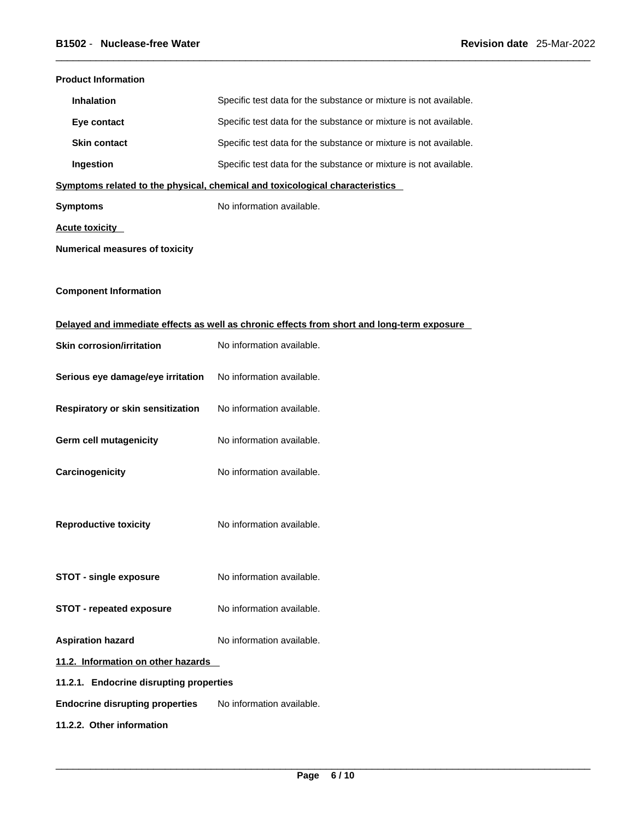| <b>Product Information</b>              |                                                                                            |  |
|-----------------------------------------|--------------------------------------------------------------------------------------------|--|
| <b>Inhalation</b>                       | Specific test data for the substance or mixture is not available.                          |  |
| Eye contact                             | Specific test data for the substance or mixture is not available.                          |  |
| <b>Skin contact</b>                     | Specific test data for the substance or mixture is not available.                          |  |
| Ingestion                               | Specific test data for the substance or mixture is not available.                          |  |
|                                         | Symptoms related to the physical, chemical and toxicological characteristics               |  |
| <b>Symptoms</b>                         | No information available.                                                                  |  |
| <b>Acute toxicity</b>                   |                                                                                            |  |
| <b>Numerical measures of toxicity</b>   |                                                                                            |  |
| <b>Component Information</b>            |                                                                                            |  |
|                                         | Delayed and immediate effects as well as chronic effects from short and long-term exposure |  |
| <b>Skin corrosion/irritation</b>        | No information available.                                                                  |  |
| Serious eye damage/eye irritation       | No information available.                                                                  |  |
| Respiratory or skin sensitization       | No information available.                                                                  |  |
| Germ cell mutagenicity                  | No information available.                                                                  |  |
| Carcinogenicity                         | No information available.                                                                  |  |
| <b>Reproductive toxicity</b>            | No information available.                                                                  |  |
| <b>STOT - single exposure</b>           | No information available.                                                                  |  |
| <b>STOT - repeated exposure</b>         | No information available.                                                                  |  |
| <b>Aspiration hazard</b>                | No information available.                                                                  |  |
| 11.2. Information on other hazards      |                                                                                            |  |
| 11.2.1. Endocrine disrupting properties |                                                                                            |  |
| <b>Endocrine disrupting properties</b>  | No information available.                                                                  |  |
| 11.2.2. Other information               |                                                                                            |  |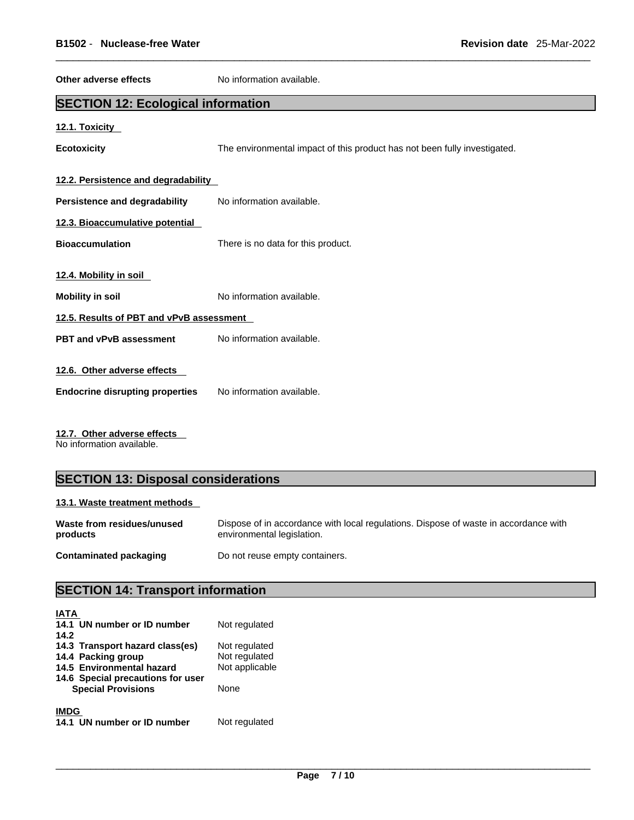| Other adverse effects                     | No information available.                                                 |  |
|-------------------------------------------|---------------------------------------------------------------------------|--|
| <b>SECTION 12: Ecological information</b> |                                                                           |  |
| 12.1. Toxicity                            |                                                                           |  |
| <b>Ecotoxicity</b>                        | The environmental impact of this product has not been fully investigated. |  |
| 12.2. Persistence and degradability       |                                                                           |  |
| Persistence and degradability             | No information available.                                                 |  |
| 12.3. Bioaccumulative potential           |                                                                           |  |
| <b>Bioaccumulation</b>                    | There is no data for this product.                                        |  |
| 12.4. Mobility in soil                    |                                                                           |  |
| <b>Mobility in soil</b>                   | No information available.                                                 |  |
| 12.5. Results of PBT and vPvB assessment  |                                                                           |  |
| PBT and vPvB assessment                   | No information available.                                                 |  |
| 12.6. Other adverse effects               |                                                                           |  |
| <b>Endocrine disrupting properties</b>    | No information available.                                                 |  |

**12.7. Other adverse effects** 

No information available.

# **SECTION 13: Disposal considerations**

### **13.1. Waste treatment methods**

| Waste from residues/unused | Dispose of in accordance with local regulations. Dispose of waste in accordance with |
|----------------------------|--------------------------------------------------------------------------------------|
| products                   | environmental legislation.                                                           |
| Contaminated packaging     | Do not reuse empty containers.                                                       |

# **SECTION 14: Transport information**

| <b>IATA</b><br>14.1 UN number or ID number | Not regulated  |
|--------------------------------------------|----------------|
| 14.2                                       |                |
| 14.3 Transport hazard class(es)            | Not regulated  |
| 14.4 Packing group                         | Not regulated  |
| 14.5 Environmental hazard                  | Not applicable |
| 14.6 Special precautions for user          |                |
| <b>Special Provisions</b>                  | None           |
| <b>IMDG</b>                                |                |
| 14.1 UN number or ID number                | Not regulated  |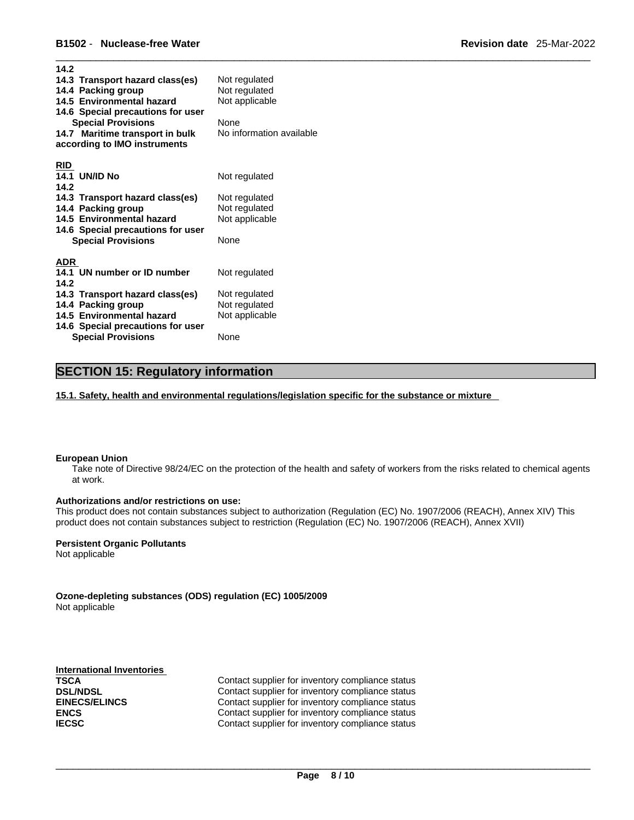| 14.2                              |                          |
|-----------------------------------|--------------------------|
| 14.3 Transport hazard class(es)   | Not regulated            |
| 14.4 Packing group                | Not regulated            |
| 14.5 Environmental hazard         | Not applicable           |
| 14.6 Special precautions for user |                          |
| <b>Special Provisions</b>         | None                     |
| 14.7 Maritime transport in bulk   | No information available |
| according to IMO instruments      |                          |
|                                   |                          |
| <b>RID</b>                        |                          |
| <b>14.1 UN/ID No</b>              | Not regulated            |
| 14.2                              |                          |
|                                   |                          |
| 14.3 Transport hazard class(es)   | Not regulated            |
| 14.4 Packing group                | Not regulated            |
| 14.5 Environmental hazard         | Not applicable           |
| 14.6 Special precautions for user |                          |
| <b>Special Provisions</b>         | None                     |
|                                   |                          |
| <b>ADR</b>                        |                          |
| 14.1 UN number or ID number       | Not regulated            |
| 14.2                              |                          |
| 14.3 Transport hazard class(es)   | Not regulated            |
| 14.4 Packing group                | Not regulated            |
| 14.5 Environmental hazard         | Not applicable           |
| 14.6 Special precautions for user |                          |
| <b>Special Provisions</b>         | None                     |

# **SECTION 15: Regulatory information**

**15.1. Safety, health and environmental regulations/legislation specific for the substance or mixture**

#### **European Union**

Take note of Directive 98/24/EC on the protection of the health and safety of workers from the risks related to chemical agents at work.

#### **Authorizations and/or restrictions on use:**

This product does not contain substances subject to authorization (Regulation (EC) No. 1907/2006 (REACH), Annex XIV) This product does not contain substances subject to restriction (Regulation (EC) No. 1907/2006 (REACH), Annex XVII)

#### **Persistent Organic Pollutants**

Not applicable

**Ozone-depleting substances (ODS) regulation (EC) 1005/2009** Not applicable

**International Inventories**

**TSCA Contact supplier for inventory compliance status DSL/NDSL Contact supplier for inventory compliance status EINECS/ELINCS** Contact supplier for inventory compliance status **ENCS ENCS Contact supplier for inventory compliance status IECSC Contact supplier for inventory compliance status**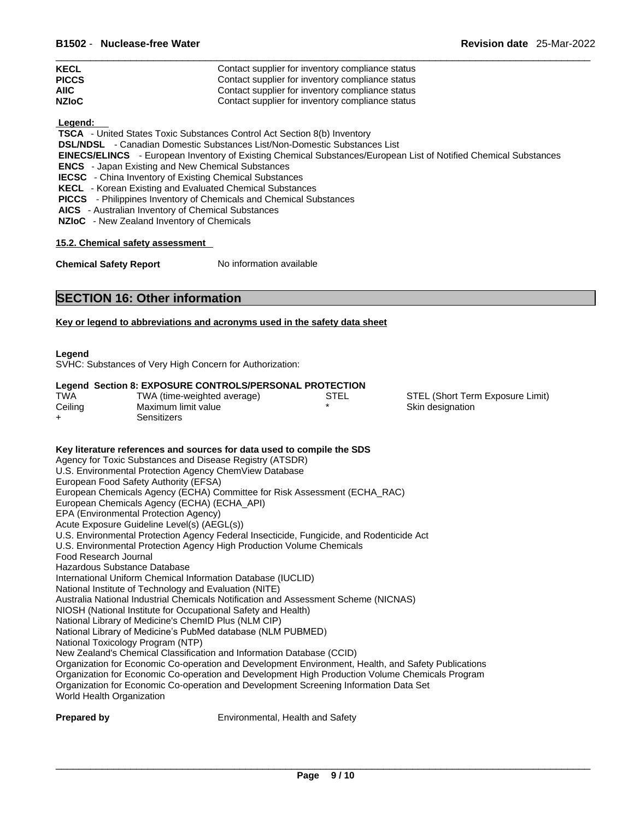| <b>KECL</b>  | Contact supplier for inventory compliance status |
|--------------|--------------------------------------------------|
| <b>PICCS</b> | Contact supplier for inventory compliance status |
| <b>AIIC</b>  | Contact supplier for inventory compliance status |
| <b>NZIoC</b> | Contact supplier for inventory compliance status |

 **Legend:** 

 **TSCA** - United States Toxic Substances Control Act Section 8(b) Inventory

 **DSL/NDSL** - Canadian Domestic Substances List/Non-Domestic Substances List

 **EINECS/ELINCS** - European Inventory of Existing Chemical Substances/European List of Notified Chemical Substances

 **ENCS** - Japan Existing and New Chemical Substances

**IECSC** - China Inventory of Existing Chemical Substances

 **KECL** - Korean Existing and Evaluated Chemical Substances

 **PICCS** - Philippines Inventory of Chemicals and Chemical Substances

 **AICS** - Australian Inventory of Chemical Substances

 **NZIoC** - New Zealand Inventory of Chemicals

**15.2. Chemical safety assessment**

**Chemical Safety Report** No information available

### **SECTION 16: Other information**

#### **Key or legend to abbreviations and acronyms used in the safety data sheet**

#### **Legend**

SVHC: Substances of Very High Concern for Authorization:

#### **Legend Section 8: EXPOSURE CONTROLS/PERSONAL PROTECTION**

| TWA     | TWA (time-weighted average) | STEL | STEL (Short Term Exposure Limit) |
|---------|-----------------------------|------|----------------------------------|
| Ceiling | Maximum limit value         |      | Skin designation                 |
|         | Sensitizers                 |      |                                  |

#### **Key literature references and sources for data used to compile the SDS**

Agency for Toxic Substances and Disease Registry (ATSDR) U.S. Environmental Protection Agency ChemView Database European Food Safety Authority (EFSA) European Chemicals Agency (ECHA) Committee for Risk Assessment (ECHA\_RAC) European Chemicals Agency (ECHA) (ECHA\_API) EPA (Environmental Protection Agency) Acute Exposure Guideline Level(s) (AEGL(s)) U.S. Environmental Protection Agency Federal Insecticide, Fungicide, and Rodenticide Act U.S. Environmental Protection Agency High Production Volume Chemicals Food Research Journal Hazardous Substance Database International Uniform Chemical Information Database (IUCLID) National Institute of Technology and Evaluation (NITE) Australia National Industrial Chemicals Notification and Assessment Scheme (NICNAS) NIOSH (National Institute for Occupational Safety and Health) National Library of Medicine's ChemID Plus (NLM CIP) National Library of Medicine's PubMed database (NLM PUBMED) National Toxicology Program (NTP) New Zealand's Chemical Classification and Information Database (CCID) Organization for Economic Co-operation and Development Environment, Health, and Safety Publications Organization for Economic Co-operation and Development High Production Volume Chemicals Program Organization for Economic Co-operation and Development Screening Information Data Set World Health Organization

**Prepared by Environmental, Health and Safety**